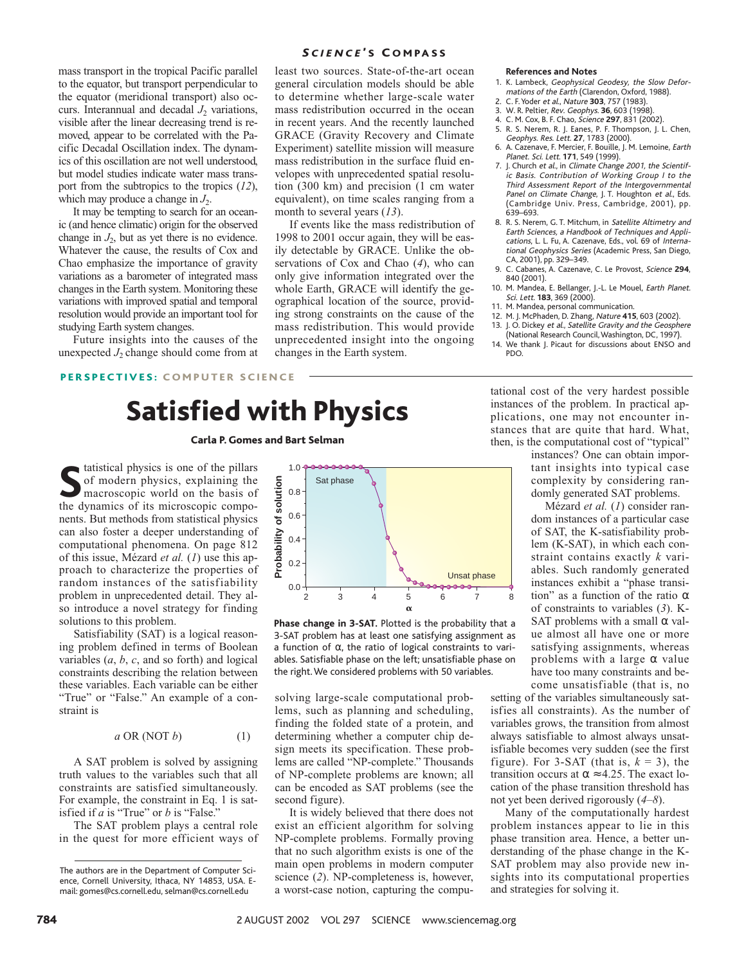mass transport in the tropical Pacific parallel to the equator, but transport perpendicular to the equator (meridional transport) also occurs. Interannual and decadal  $J_2$  variations, visible after the linear decreasing trend is removed, appear to be correlated with the Pacific Decadal Oscillation index. The dynamics of this oscillation are not well understood, but model studies indicate water mass transport from the subtropics to the tropics (*12*), which may produce a change in  $J_2$ .

It may be tempting to search for an oceanic (and hence climatic) origin for the observed change in  $J_2$ , but as yet there is no evidence. Whatever the cause, the results of Cox and Chao emphasize the importance of gravity variations as a barometer of integrated mass changes in the Earth system. Monitoring these variations with improved spatial and temporal resolution would provide an important tool for studying Earth system changes.

Future insights into the causes of the unexpected  $J_2$  change should come from at

## **SCIENCE'S COMPASS**

least two sources. State-of-the-art ocean general circulation models should be able to determine whether large-scale water mass redistribution occurred in the ocean in recent years. And the recently launched GRACE (Gravity Recovery and Climate Experiment) satellite mission will measure mass redistribution in the surface fluid envelopes with unprecedented spatial resolution (300 km) and precision (1 cm water equivalent), on time scales ranging from a month to several years (*13*).

If events like the mass redistribution of 1998 to 2001 occur again, they will be easily detectable by GRACE. Unlike the observations of Cox and Chao (*4*), who can only give information integrated over the whole Earth, GRACE will identify the geographical location of the source, providing strong constraints on the cause of the mass redistribution. This would provide unprecedented insight into the ongoing changes in the Earth system.

#### **References and Notes**

- 1. K. Lambeck, Geophysical Geodesy, the Slow Deformations of the Earth (Clarendon, Oxford, 1988).
- 2. C. F. Yoder et al., Nature **303**, 757 (1983).
- 3. W. R. Peltier, Rev. Geophys. **36**, 603 (1998).
- 4. C. M. Cox, B. F. Chao, Science **297**, 831 (2002).
- 5. R. S. Nerem, R. J. Eanes, P. F. Thompson, J. L. Chen,
- Geophys. Res. Lett. **27**, 1783 (2000). 6. A. Cazenave, F. Mercier, F. Bouille, J. M. Lemoine, Earth Planet. Sci. Lett. **171**, 549 (1999).
- 7. J. Church et al., in Climate Change 2001, the Scientific Basis. Contribution of Working Group I to the Third Assessment Report of the Intergovernmental Panel on Climate Change, J. T. Houghton et al., Eds. (Cambridge Univ. Press, Cambridge, 2001), pp. 639–693.
- 8. R. S. Nerem, G. T. Mitchum, in Satellite Altimetry and Earth Sciences, a Handbook of Techniques and Applications, L. L. Fu, A. Cazenave, Eds., vol. 69 of International Geophysics Series (Academic Press, San Diego, CA, 2001), pp. 329–349.
- 9. C. Cabanes, A. Cazenave, C. Le Provost, Science **294**, 840 (2001).
- 10. M. Mandea, E. Bellanger, J.-L. Le Mouel, Earth Planet. Sci. Lett. **183**, 369 (2000).
- 11. M. Mandea, personal communication.
- 12. M. J. McPhaden, D. Zhang, Nature **415**, 603 (2002). 13. J. O. Dickey et al., Satellite Gravity and the Geosphere (National Research Council,Washington, DC, 1997).
- We thank J. Picaut for discussions about ENSO and PDO.

# PERSPECTIVES: COMPUTER SCIENCE

# Satisfied with Physics

### Carla P. Gomes and Bart Selman

**S** tatistical physics is one of the pillars of modern physics, explaining the macroscopic world on the basis of the dynamics of its microscopic components. But methods from statistical physics can also foster a deeper understanding of computational phenomena. On page 812 of this issue, Mézard *et al.* (*1*) use this approach to characterize the properties of random instances of the satisfiability problem in unprecedented detail. They also introduce a novel strategy for finding solutions to this problem.

Satisfiability (SAT) is a logical reasoning problem defined in terms of Boolean variables (*a*, *b*, *c*, and so forth) and logical constraints describing the relation between these variables. Each variable can be either "True" or "False." An example of a constraint is

$$
a \text{ OR } (\text{NOT } b) \tag{1}
$$

A SAT problem is solved by assigning truth values to the variables such that all constraints are satisfied simultaneously. For example, the constraint in Eq. 1 is satisfied if *a* is "True" or *b* is "False."

The SAT problem plays a central role in the quest for more efficient ways of



**Phase change in 3-SAT.** Plotted is the probability that a 3-SAT problem has at least one satisfying assignment as a function of  $\alpha$ , the ratio of logical constraints to variables. Satisfiable phase on the left; unsatisfiable phase on the right. We considered problems with 50 variables.

solving large-scale computational problems, such as planning and scheduling, finding the folded state of a protein, and determining whether a computer chip design meets its specification. These problems are called "NP-complete." Thousands of NP-complete problems are known; all can be encoded as SAT problems (see the second figure).

It is widely believed that there does not exist an efficient algorithm for solving NP-complete problems. Formally proving that no such algorithm exists is one of the main open problems in modern computer science (*2*). NP-completeness is, however, a worst-case notion, capturing the computational cost of the very hardest possible instances of the problem. In practical applications, one may not encounter instances that are quite that hard. What, then, is the computational cost of "typical"

instances? One can obtain important insights into typical case complexity by considering randomly generated SAT problems.

Mézard *et al.* (*1*) consider random instances of a particular case of SAT, the K-satisfiability problem (K-SAT), in which each constraint contains exactly *k* variables. Such randomly generated instances exhibit a "phase transition" as a function of the ratio  $\alpha$ of constraints to variables (*3*). K-SAT problems with a small  $\alpha$  value almost all have one or more satisfying assignments, whereas problems with a large  $\alpha$  value have too many constraints and become unsatisfiable (that is, no

setting of the variables simultaneously satisfies all constraints). As the number of variables grows, the transition from almost always satisfiable to almost always unsatisfiable becomes very sudden (see the first figure). For 3-SAT (that is,  $k = 3$ ), the transition occurs at  $\alpha \approx 4.25$ . The exact location of the phase transition threshold has not yet been derived rigorously (*4*–*8*).

Many of the computationally hardest problem instances appear to lie in this phase transition area. Hence, a better understanding of the phase change in the K-SAT problem may also provide new insights into its computational properties and strategies for solving it.

The authors are in the Department of Computer Science, Cornell University, Ithaca, NY 14853, USA. Email: gomes@cs.cornell.edu, selman@cs.cornell.edu